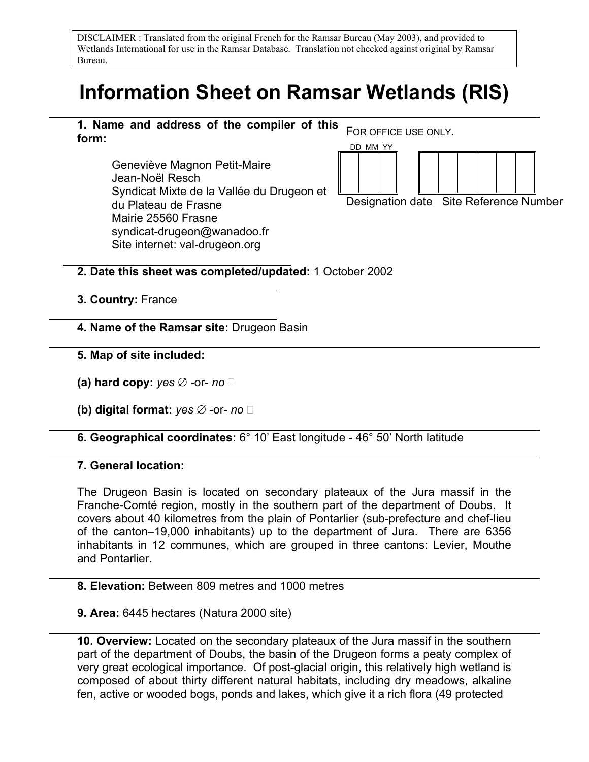DISCLAIMER : Translated from the original French for the Ramsar Bureau (May 2003), and provided to Wetlands International for use in the Ramsar Database. Translation not checked against original by Ramsar Bureau.

# **Information Sheet on Ramsar Wetlands (RIS)**



Geneviève Magnon Petit-Maire Jean-Noël Resch Syndicat Mixte de la Vallée du Drugeon et du Plateau de Frasne Mairie 25560 Frasne syndicat-drugeon@wanadoo.fr Site internet: val-drugeon.org



Designation date Site Reference Number

#### **2. Date this sheet was completed/updated:** 1 October 2002

**3. Country:** France

**4. Name of the Ramsar site:** Drugeon Basin

- **5. Map of site included:**
- **(a) hard copy:** *yes* ∅ -or- *no*
- **(b) digital format:** *yes* ∅ -or- *no*

#### **6. Geographical coordinates:** 6° 10' East longitude - 46° 50' North latitude

#### **7. General location:**

The Drugeon Basin is located on secondary plateaux of the Jura massif in the Franche-Comté region, mostly in the southern part of the department of Doubs. It covers about 40 kilometres from the plain of Pontarlier (sub-prefecture and chef-lieu of the canton–19,000 inhabitants) up to the department of Jura. There are 6356 inhabitants in 12 communes, which are grouped in three cantons: Levier, Mouthe and Pontarlier.

#### **8. Elevation:** Between 809 metres and 1000 metres

#### **9. Area:** 6445 hectares (Natura 2000 site)

**10. Overview:** Located on the secondary plateaux of the Jura massif in the southern part of the department of Doubs, the basin of the Drugeon forms a peaty complex of very great ecological importance. Of post-glacial origin, this relatively high wetland is composed of about thirty different natural habitats, including dry meadows, alkaline fen, active or wooded bogs, ponds and lakes, which give it a rich flora (49 protected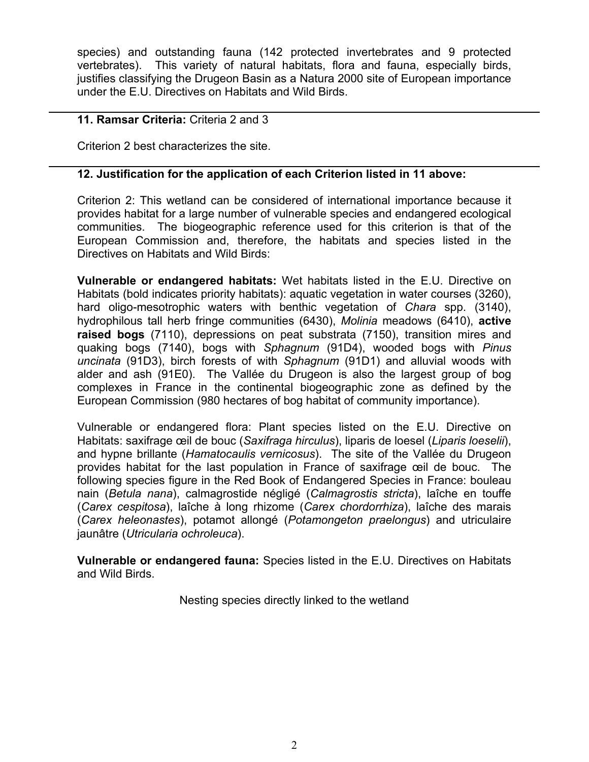species) and outstanding fauna (142 protected invertebrates and 9 protected vertebrates). This variety of natural habitats, flora and fauna, especially birds, justifies classifying the Drugeon Basin as a Natura 2000 site of European importance under the E.U. Directives on Habitats and Wild Birds.

#### **11. Ramsar Criteria:** Criteria 2 and 3

Criterion 2 best characterizes the site.

#### **12. Justification for the application of each Criterion listed in 11 above:**

Criterion 2: This wetland can be considered of international importance because it provides habitat for a large number of vulnerable species and endangered ecological communities. The biogeographic reference used for this criterion is that of the European Commission and, therefore, the habitats and species listed in the Directives on Habitats and Wild Birds:

**Vulnerable or endangered habitats:** Wet habitats listed in the E.U. Directive on Habitats (bold indicates priority habitats): aquatic vegetation in water courses (3260), hard oligo-mesotrophic waters with benthic vegetation of *Chara* spp. (3140), hydrophilous tall herb fringe communities (6430), *Molinia* meadows (6410), **active raised bogs** (7110), depressions on peat substrata (7150), transition mires and quaking bogs (7140), bogs with *Sphagnum* (91D4), wooded bogs with *Pinus uncinata* (91D3), birch forests of with *Sphagnum* (91D1) and alluvial woods with alder and ash (91E0). The Vallée du Drugeon is also the largest group of bog complexes in France in the continental biogeographic zone as defined by the European Commission (980 hectares of bog habitat of community importance).

Vulnerable or endangered flora: Plant species listed on the E.U. Directive on Habitats: saxifrage œil de bouc (*Saxifraga hirculus*), liparis de loesel (*Liparis loeselii*), and hypne brillante (*Hamatocaulis vernicosus*). The site of the Vallée du Drugeon provides habitat for the last population in France of saxifrage œil de bouc. The following species figure in the Red Book of Endangered Species in France: bouleau nain (*Betula nana*), calmagrostide négligé (*Calmagrostis stricta*), laîche en touffe (*Carex cespitosa*), laîche à long rhizome (*Carex chordorrhiza*), laîche des marais (*Carex heleonastes*), potamot allongé (*Potamongeton praelongus*) and utriculaire jaunâtre (*Utricularia ochroleuca*).

**Vulnerable or endangered fauna:** Species listed in the E.U. Directives on Habitats and Wild Birds.

Nesting species directly linked to the wetland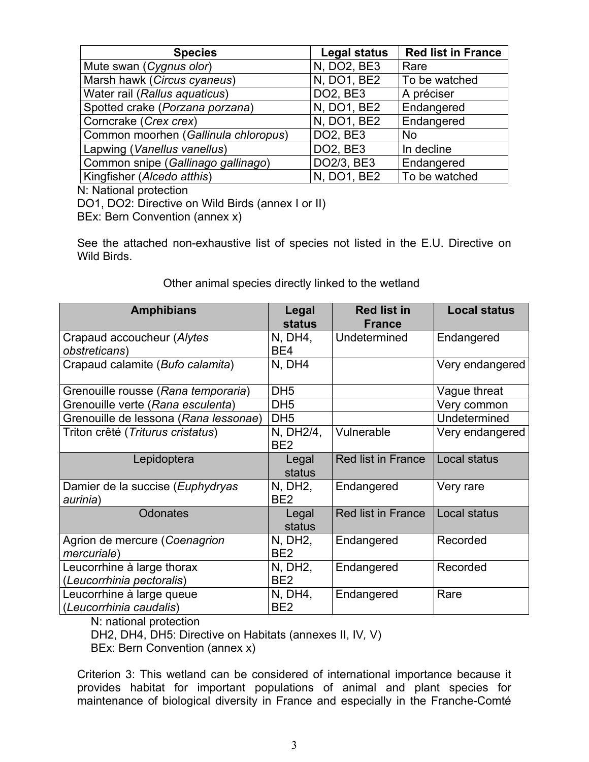| <b>Species</b>                       | <b>Legal status</b> | <b>Red list in France</b> |
|--------------------------------------|---------------------|---------------------------|
| Mute swan (Cygnus olor)              | N, DO2, BE3         | Rare                      |
| Marsh hawk (Circus cyaneus)          | N, DO1, BE2         | To be watched             |
| Water rail (Rallus aquaticus)        | <b>DO2, BE3</b>     | A préciser                |
| Spotted crake (Porzana porzana)      | N, DO1, BE2         | Endangered                |
| Corncrake (Crex crex)                | N, DO1, BE2         | Endangered                |
| Common moorhen (Gallinula chloropus) | <b>DO2, BE3</b>     | <b>No</b>                 |
| Lapwing (Vanellus vanellus)          | <b>DO2, BE3</b>     | In decline                |
| Common snipe (Gallinago gallinago)   | DO2/3, BE3          | Endangered                |
| Kingfisher (Alcedo atthis)           | N, DO1, BE2         | To be watched             |

N: National protection

DO1, DO2: Directive on Wild Birds (annex I or II)

BEx: Bern Convention (annex x)

See the attached non-exhaustive list of species not listed in the E.U. Directive on Wild Birds.

| <b>Amphibians</b>                     | Legal           | <b>Red list in</b>        | <b>Local status</b> |
|---------------------------------------|-----------------|---------------------------|---------------------|
|                                       | <b>status</b>   | <b>France</b>             |                     |
| Crapaud accoucheur (Alytes            | N, DH4,         | Undetermined              | Endangered          |
| obstreticans)                         | BE4             |                           |                     |
| Crapaud calamite (Bufo calamita)      | N, DH4          |                           | Very endangered     |
| Grenouille rousse (Rana temporaria)   | DH <sub>5</sub> |                           | Vague threat        |
| Grenouille verte (Rana esculenta)     | DH <sub>5</sub> |                           | Very common         |
| Grenouille de lessona (Rana lessonae) | DH <sub>5</sub> |                           | Undetermined        |
| Triton crêté (Triturus cristatus)     | N, DH2/4,       | Vulnerable                | Very endangered     |
|                                       | BE <sub>2</sub> |                           |                     |
| Lepidoptera                           | Legal           | Red list in France        | Local status        |
|                                       | status          |                           |                     |
| Damier de la succise (Euphydryas      | N, DH2,         | Endangered                | Very rare           |
| aurinia)                              | BE <sub>2</sub> |                           |                     |
| <b>Odonates</b>                       | Legal<br>status | <b>Red list in France</b> | Local status        |
| Agrion de mercure (Coenagrion         | N, DH2,         | Endangered                | Recorded            |
| <i>mercuriale</i> )                   | BE <sub>2</sub> |                           |                     |
| Leucorrhine à large thorax            | N, DH2,         | Endangered                | Recorded            |
| (Leucorrhinia pectoralis)             | BE <sub>2</sub> |                           |                     |
| Leucorrhine à large queue             | N, DH4,         | Endangered                | Rare                |
| (Leucorrhinia caudalis)               | BE <sub>2</sub> |                           |                     |

## Other animal species directly linked to the wetland

N: national protection

DH2, DH4, DH5: Directive on Habitats (annexes II, IV*,* V)

BEx: Bern Convention (annex x)

Criterion 3: This wetland can be considered of international importance because it provides habitat for important populations of animal and plant species for maintenance of biological diversity in France and especially in the Franche-Comté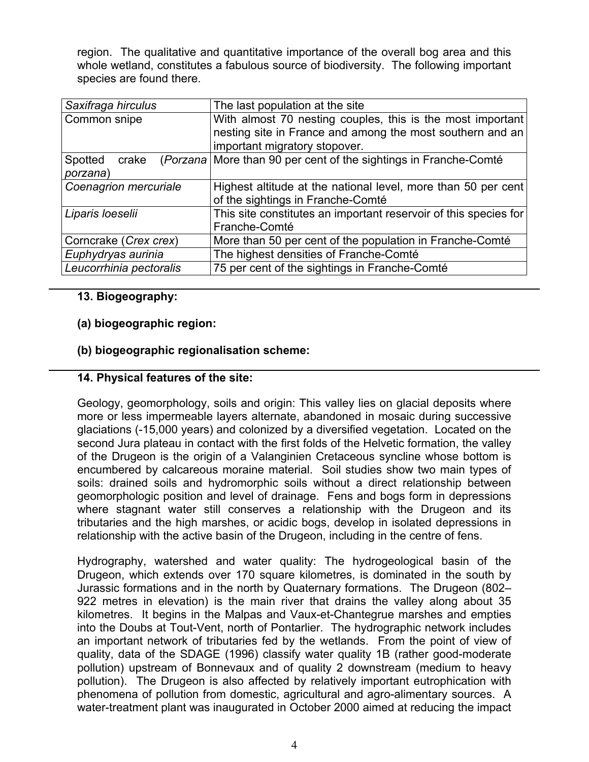region. The qualitative and quantitative importance of the overall bog area and this whole wetland, constitutes a fabulous source of biodiversity. The following important species are found there.

| Saxifraga hirculus      | The last population at the site                                  |
|-------------------------|------------------------------------------------------------------|
| Common snipe            | With almost 70 nesting couples, this is the most important       |
|                         | nesting site in France and among the most southern and an        |
|                         | important migratory stopover.                                    |
| Spotted crake           | (Porzana More than 90 per cent of the sightings in Franche-Comté |
| porzana)                |                                                                  |
| Coenagrion mercuriale   | Highest altitude at the national level, more than 50 per cent    |
|                         | of the sightings in Franche-Comté                                |
| Liparis loeselii        | This site constitutes an important reservoir of this species for |
|                         | Franche-Comté                                                    |
| Corncrake (Crex crex)   | More than 50 per cent of the population in Franche-Comté         |
| Euphydryas aurinia      | The highest densities of Franche-Comté                           |
| Leucorrhinia pectoralis | 75 per cent of the sightings in Franche-Comté                    |

## **13. Biogeography:**

#### **(a) biogeographic region:**

#### **(b) biogeographic regionalisation scheme:**

#### **14. Physical features of the site:**

Geology, geomorphology, soils and origin: This valley lies on glacial deposits where more or less impermeable layers alternate, abandoned in mosaic during successive glaciations (-15,000 years) and colonized by a diversified vegetation. Located on the second Jura plateau in contact with the first folds of the Helvetic formation, the valley of the Drugeon is the origin of a Valanginien Cretaceous syncline whose bottom is encumbered by calcareous moraine material. Soil studies show two main types of soils: drained soils and hydromorphic soils without a direct relationship between geomorphologic position and level of drainage. Fens and bogs form in depressions where stagnant water still conserves a relationship with the Drugeon and its tributaries and the high marshes, or acidic bogs, develop in isolated depressions in relationship with the active basin of the Drugeon, including in the centre of fens.

Hydrography, watershed and water quality: The hydrogeological basin of the Drugeon, which extends over 170 square kilometres, is dominated in the south by Jurassic formations and in the north by Quaternary formations. The Drugeon (802– 922 metres in elevation) is the main river that drains the valley along about 35 kilometres. It begins in the Malpas and Vaux-et-Chantegrue marshes and empties into the Doubs at Tout-Vent, north of Pontarlier. The hydrographic network includes an important network of tributaries fed by the wetlands. From the point of view of quality, data of the SDAGE (1996) classify water quality 1B (rather good-moderate pollution) upstream of Bonnevaux and of quality 2 downstream (medium to heavy pollution). The Drugeon is also affected by relatively important eutrophication with phenomena of pollution from domestic, agricultural and agro-alimentary sources. A water-treatment plant was inaugurated in October 2000 aimed at reducing the impact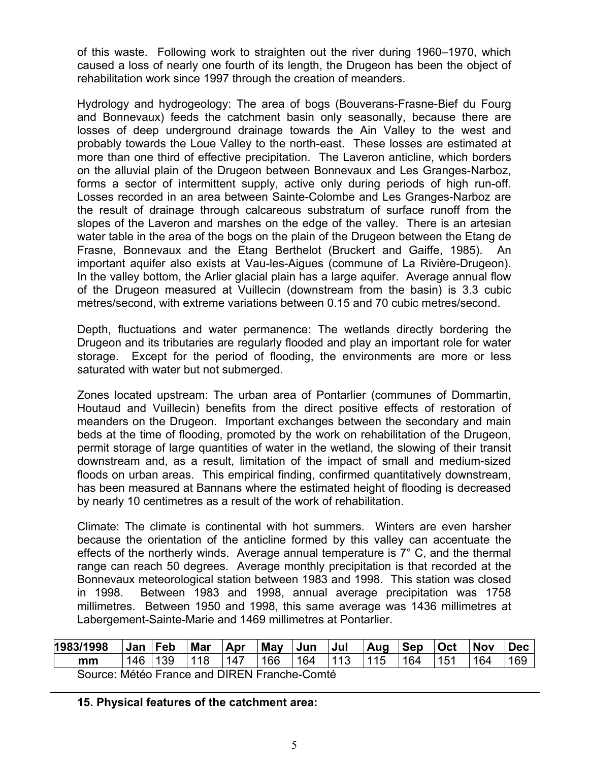of this waste. Following work to straighten out the river during 1960–1970, which caused a loss of nearly one fourth of its length, the Drugeon has been the object of rehabilitation work since 1997 through the creation of meanders.

Hydrology and hydrogeology: The area of bogs (Bouverans-Frasne-Bief du Fourg and Bonnevaux) feeds the catchment basin only seasonally, because there are losses of deep underground drainage towards the Ain Valley to the west and probably towards the Loue Valley to the north-east. These losses are estimated at more than one third of effective precipitation. The Laveron anticline, which borders on the alluvial plain of the Drugeon between Bonnevaux and Les Granges-Narboz, forms a sector of intermittent supply, active only during periods of high run-off. Losses recorded in an area between Sainte-Colombe and Les Granges-Narboz are the result of drainage through calcareous substratum of surface runoff from the slopes of the Laveron and marshes on the edge of the valley. There is an artesian water table in the area of the bogs on the plain of the Drugeon between the Etang de Frasne, Bonnevaux and the Etang Berthelot (Bruckert and Gaiffe, 1985). An important aquifer also exists at Vau-les-Aigues (commune of La Rivière-Drugeon). In the valley bottom, the Arlier glacial plain has a large aquifer. Average annual flow of the Drugeon measured at Vuillecin (downstream from the basin) is 3.3 cubic metres/second, with extreme variations between 0.15 and 70 cubic metres/second.

Depth, fluctuations and water permanence: The wetlands directly bordering the Drugeon and its tributaries are regularly flooded and play an important role for water storage. Except for the period of flooding, the environments are more or less saturated with water but not submerged.

Zones located upstream: The urban area of Pontarlier (communes of Dommartin, Houtaud and Vuillecin) benefits from the direct positive effects of restoration of meanders on the Drugeon. Important exchanges between the secondary and main beds at the time of flooding, promoted by the work on rehabilitation of the Drugeon, permit storage of large quantities of water in the wetland, the slowing of their transit downstream and, as a result, limitation of the impact of small and medium-sized floods on urban areas. This empirical finding, confirmed quantitatively downstream, has been measured at Bannans where the estimated height of flooding is decreased by nearly 10 centimetres as a result of the work of rehabilitation.

Climate: The climate is continental with hot summers. Winters are even harsher because the orientation of the anticline formed by this valley can accentuate the effects of the northerly winds. Average annual temperature is 7° C, and the thermal range can reach 50 degrees. Average monthly precipitation is that recorded at the Bonnevaux meteorological station between 1983 and 1998. This station was closed in 1998. Between 1983 and 1998, annual average precipitation was 1758 millimetres. Between 1950 and 1998, this same average was 1436 millimetres at Labergement-Sainte-Marie and 1469 millimetres at Pontarlier.

| 1983/1998                                    | Jan | Feb | Mar | Apr | <b>May</b> | Jun | Jul | Aug | <b>Sep</b> | <b>Oct</b> | <b>Nov</b> | <b>Dec</b> |
|----------------------------------------------|-----|-----|-----|-----|------------|-----|-----|-----|------------|------------|------------|------------|
| mm                                           | 146 | 139 | 118 | 147 | 166        | 164 | 113 | 115 | 164        | 151        | 164        | 169        |
| Source: Météo France and DIREN Franche-Comté |     |     |     |     |            |     |     |     |            |            |            |            |

**15. Physical features of the catchment area:**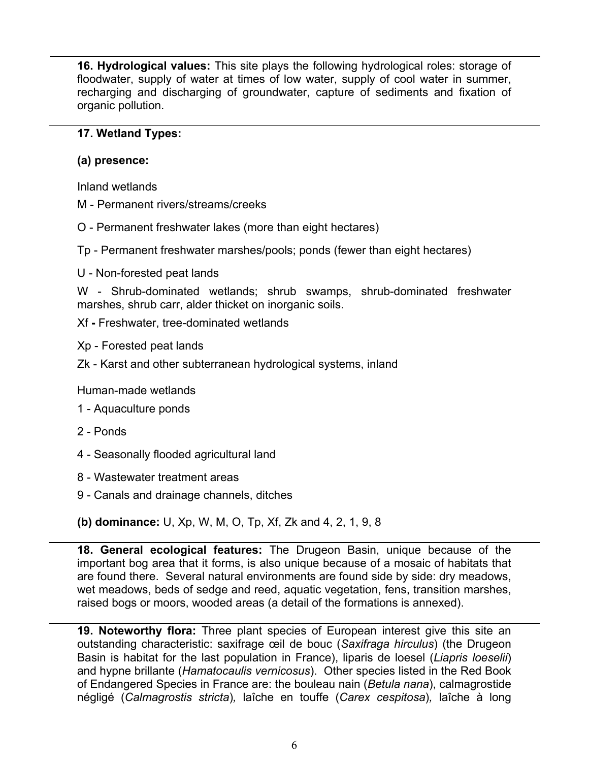**16. Hydrological values:** This site plays the following hydrological roles: storage of floodwater, supply of water at times of low water, supply of cool water in summer, recharging and discharging of groundwater, capture of sediments and fixation of organic pollution.

#### **17. Wetland Types:**

#### **(a) presence:**

Inland wetlands

- M Permanent rivers/streams/creeks
- O Permanent freshwater lakes (more than eight hectares)
- Tp Permanent freshwater marshes/pools; ponds (fewer than eight hectares)
- U Non-forested peat lands

W - Shrub-dominated wetlands; shrub swamps, shrub-dominated freshwater marshes, shrub carr, alder thicket on inorganic soils.

Xf **-** Freshwater, tree-dominated wetlands

Xp - Forested peat lands

Zk - Karst and other subterranean hydrological systems, inland

Human-made wetlands

- 1 Aquaculture ponds
- 2 Ponds
- 4 Seasonally flooded agricultural land
- 8 Wastewater treatment areas
- 9 Canals and drainage channels, ditches
- **(b) dominance:** U, Xp, W, M, O, Tp, Xf, Zk and 4, 2, 1, 9, 8

**18. General ecological features:** The Drugeon Basin, unique because of the important bog area that it forms, is also unique because of a mosaic of habitats that are found there. Several natural environments are found side by side: dry meadows, wet meadows, beds of sedge and reed, aquatic vegetation, fens, transition marshes, raised bogs or moors, wooded areas (a detail of the formations is annexed).

**19. Noteworthy flora:** Three plant species of European interest give this site an outstanding characteristic: saxifrage œil de bouc (*Saxifraga hirculus*) (the Drugeon Basin is habitat for the last population in France), liparis de loesel (*Liapris loeselii*) and hypne brillante (*Hamatocaulis vernicosus*). Other species listed in the Red Book of Endangered Species in France are: the bouleau nain (*Betula nana*), calmagrostide négligé (*Calmagrostis stricta*)*,* laîche en touffe (*Carex cespitosa*)*,* laîche à long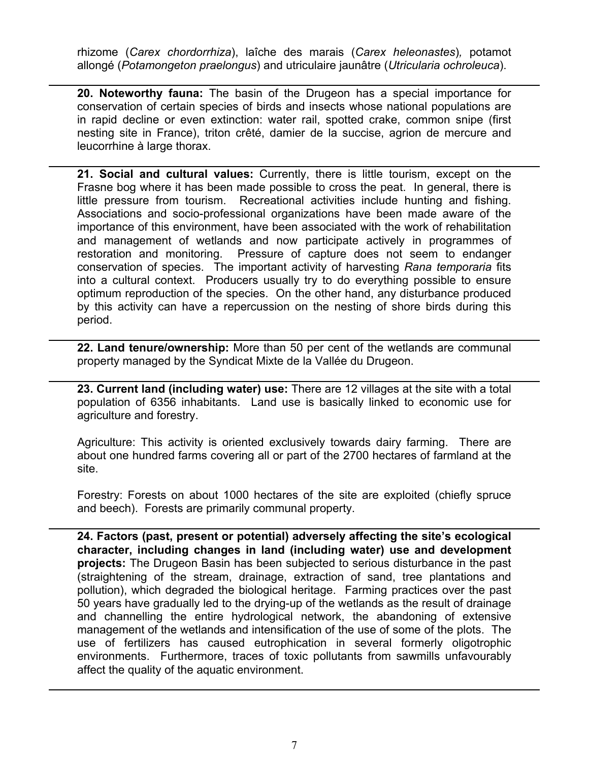rhizome (*Carex chordorrhiza*), laîche des marais (*Carex heleonastes*)*,* potamot allongé (*Potamongeton praelongus*) and utriculaire jaunâtre (*Utricularia ochroleuca*).

**20. Noteworthy fauna:** The basin of the Drugeon has a special importance for conservation of certain species of birds and insects whose national populations are in rapid decline or even extinction: water rail, spotted crake, common snipe (first nesting site in France), triton crêté, damier de la succise, agrion de mercure and leucorrhine à large thorax.

**21. Social and cultural values:** Currently, there is little tourism, except on the Frasne bog where it has been made possible to cross the peat. In general, there is little pressure from tourism. Recreational activities include hunting and fishing. Associations and socio-professional organizations have been made aware of the importance of this environment, have been associated with the work of rehabilitation and management of wetlands and now participate actively in programmes of restoration and monitoring. Pressure of capture does not seem to endanger conservation of species. The important activity of harvesting *Rana temporaria* fits into a cultural context. Producers usually try to do everything possible to ensure optimum reproduction of the species. On the other hand, any disturbance produced by this activity can have a repercussion on the nesting of shore birds during this period.

**22. Land tenure/ownership:** More than 50 per cent of the wetlands are communal property managed by the Syndicat Mixte de la Vallée du Drugeon.

**23. Current land (including water) use:** There are 12 villages at the site with a total population of 6356 inhabitants. Land use is basically linked to economic use for agriculture and forestry.

Agriculture: This activity is oriented exclusively towards dairy farming. There are about one hundred farms covering all or part of the 2700 hectares of farmland at the site.

Forestry: Forests on about 1000 hectares of the site are exploited (chiefly spruce and beech). Forests are primarily communal property.

**24. Factors (past, present or potential) adversely affecting the site's ecological character, including changes in land (including water) use and development projects:** The Drugeon Basin has been subjected to serious disturbance in the past (straightening of the stream, drainage, extraction of sand, tree plantations and pollution), which degraded the biological heritage. Farming practices over the past 50 years have gradually led to the drying-up of the wetlands as the result of drainage and channelling the entire hydrological network, the abandoning of extensive management of the wetlands and intensification of the use of some of the plots. The use of fertilizers has caused eutrophication in several formerly oligotrophic environments. Furthermore, traces of toxic pollutants from sawmills unfavourably affect the quality of the aquatic environment.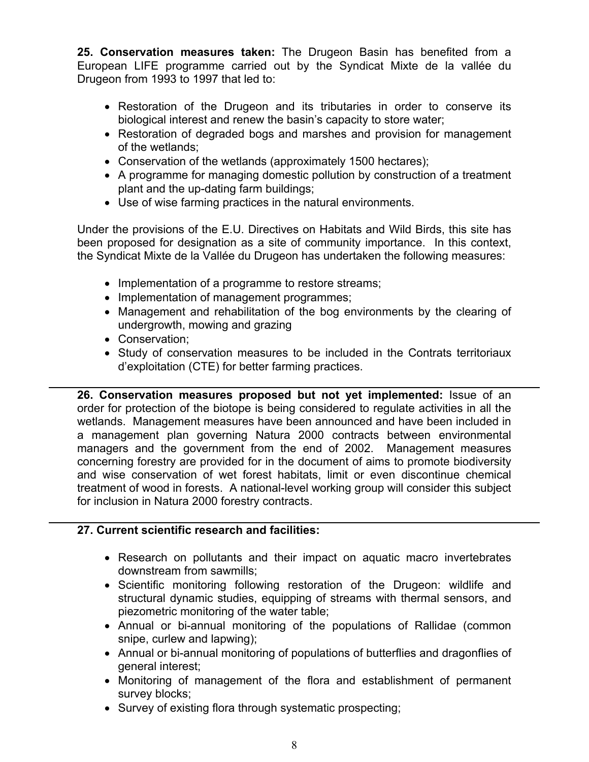**25. Conservation measures taken:** The Drugeon Basin has benefited from a European LIFE programme carried out by the Syndicat Mixte de la vallée du Drugeon from 1993 to 1997 that led to:

- Restoration of the Drugeon and its tributaries in order to conserve its biological interest and renew the basin's capacity to store water;
- Restoration of degraded bogs and marshes and provision for management of the wetlands;
- Conservation of the wetlands (approximately 1500 hectares);
- A programme for managing domestic pollution by construction of a treatment plant and the up-dating farm buildings;
- Use of wise farming practices in the natural environments.

Under the provisions of the E.U. Directives on Habitats and Wild Birds, this site has been proposed for designation as a site of community importance. In this context, the Syndicat Mixte de la Vallée du Drugeon has undertaken the following measures:

- Implementation of a programme to restore streams;
- Implementation of management programmes;
- Management and rehabilitation of the bog environments by the clearing of undergrowth, mowing and grazing
- Conservation;
- Study of conservation measures to be included in the Contrats territoriaux d'exploitation (CTE) for better farming practices.

**26. Conservation measures proposed but not yet implemented:** Issue of an order for protection of the biotope is being considered to regulate activities in all the wetlands. Management measures have been announced and have been included in a management plan governing Natura 2000 contracts between environmental managers and the government from the end of 2002. Management measures concerning forestry are provided for in the document of aims to promote biodiversity and wise conservation of wet forest habitats, limit or even discontinue chemical treatment of wood in forests. A national-level working group will consider this subject for inclusion in Natura 2000 forestry contracts.

# **27. Current scientific research and facilities:**

- Research on pollutants and their impact on aquatic macro invertebrates downstream from sawmills;
- Scientific monitoring following restoration of the Drugeon: wildlife and structural dynamic studies, equipping of streams with thermal sensors, and piezometric monitoring of the water table;
- Annual or bi-annual monitoring of the populations of Rallidae (common snipe, curlew and lapwing);
- Annual or bi-annual monitoring of populations of butterflies and dragonflies of general interest;
- Monitoring of management of the flora and establishment of permanent survey blocks;
- Survey of existing flora through systematic prospecting;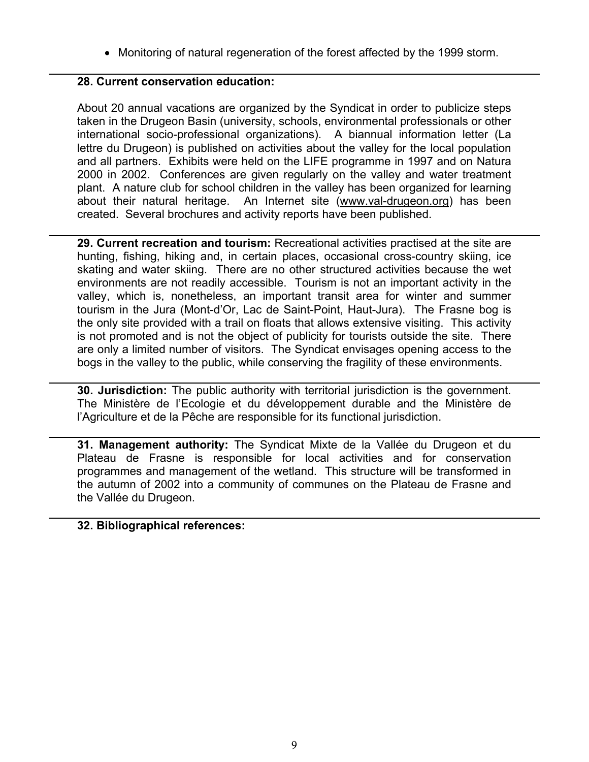• Monitoring of natural regeneration of the forest affected by the 1999 storm.

#### **28. Current conservation education:**

About 20 annual vacations are organized by the Syndicat in order to publicize steps taken in the Drugeon Basin (university, schools, environmental professionals or other international socio-professional organizations). A biannual information letter (La lettre du Drugeon) is published on activities about the valley for the local population and all partners. Exhibits were held on the LIFE programme in 1997 and on Natura 2000 in 2002. Conferences are given regularly on the valley and water treatment plant. A nature club for school children in the valley has been organized for learning about their natural heritage. An Internet site (www.val-drugeon.org) has been created. Several brochures and activity reports have been published.

**29. Current recreation and tourism:** Recreational activities practised at the site are hunting, fishing, hiking and, in certain places, occasional cross-country skiing, ice skating and water skiing. There are no other structured activities because the wet environments are not readily accessible. Tourism is not an important activity in the valley, which is, nonetheless, an important transit area for winter and summer tourism in the Jura (Mont-d'Or, Lac de Saint-Point, Haut-Jura). The Frasne bog is the only site provided with a trail on floats that allows extensive visiting. This activity is not promoted and is not the object of publicity for tourists outside the site. There are only a limited number of visitors. The Syndicat envisages opening access to the bogs in the valley to the public, while conserving the fragility of these environments.

**30. Jurisdiction:** The public authority with territorial jurisdiction is the government. The Ministère de l'Ecologie et du développement durable and the Ministère de l'Agriculture et de la Pêche are responsible for its functional jurisdiction.

**31. Management authority:** The Syndicat Mixte de la Vallée du Drugeon et du Plateau de Frasne is responsible for local activities and for conservation programmes and management of the wetland. This structure will be transformed in the autumn of 2002 into a community of communes on the Plateau de Frasne and the Vallée du Drugeon.

#### **32. Bibliographical references:**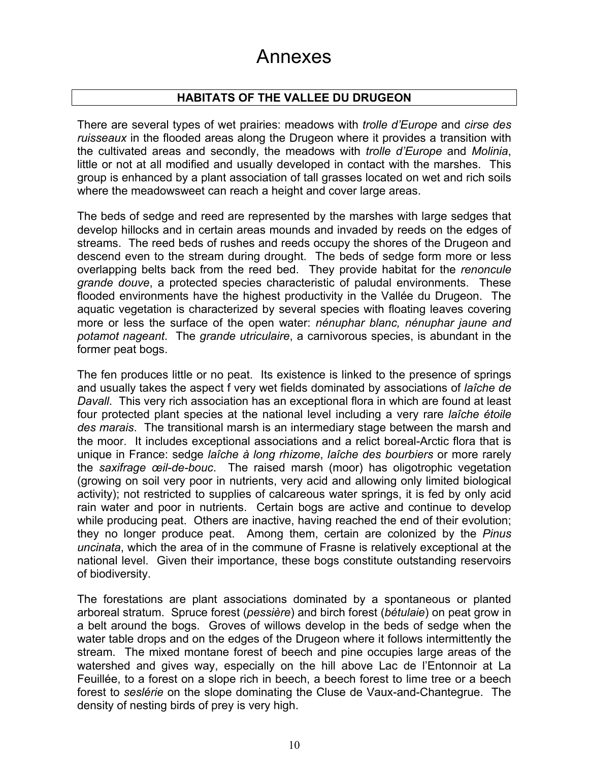# Annexes

# **HABITATS OF THE VALLEE DU DRUGEON**

There are several types of wet prairies: meadows with *trolle d'Europe* and *cirse des ruisseaux* in the flooded areas along the Drugeon where it provides a transition with the cultivated areas and secondly, the meadows with *trolle d'Europe* and *Molinia*, little or not at all modified and usually developed in contact with the marshes. This group is enhanced by a plant association of tall grasses located on wet and rich soils where the meadowsweet can reach a height and cover large areas.

The beds of sedge and reed are represented by the marshes with large sedges that develop hillocks and in certain areas mounds and invaded by reeds on the edges of streams. The reed beds of rushes and reeds occupy the shores of the Drugeon and descend even to the stream during drought. The beds of sedge form more or less overlapping belts back from the reed bed. They provide habitat for the *renoncule grande douve*, a protected species characteristic of paludal environments. These flooded environments have the highest productivity in the Vallée du Drugeon. The aquatic vegetation is characterized by several species with floating leaves covering more or less the surface of the open water: *nénuphar blanc, nénuphar jaune and potamot nageant*. The *grande utriculaire*, a carnivorous species, is abundant in the former peat bogs.

The fen produces little or no peat. Its existence is linked to the presence of springs and usually takes the aspect f very wet fields dominated by associations of *laîche de Davall*. This very rich association has an exceptional flora in which are found at least four protected plant species at the national level including a very rare *laîche étoile des marais*. The transitional marsh is an intermediary stage between the marsh and the moor. It includes exceptional associations and a relict boreal-Arctic flora that is unique in France: sedge *laîche à long rhizome*, *laîche des bourbiers* or more rarely the *saxifrage œil-de-bouc*. The raised marsh (moor) has oligotrophic vegetation (growing on soil very poor in nutrients, very acid and allowing only limited biological activity); not restricted to supplies of calcareous water springs, it is fed by only acid rain water and poor in nutrients. Certain bogs are active and continue to develop while producing peat. Others are inactive, having reached the end of their evolution; they no longer produce peat. Among them, certain are colonized by the *Pinus uncinata*, which the area of in the commune of Frasne is relatively exceptional at the national level. Given their importance, these bogs constitute outstanding reservoirs of biodiversity.

The forestations are plant associations dominated by a spontaneous or planted arboreal stratum. Spruce forest (*pessière*) and birch forest (*bétulaie*) on peat grow in a belt around the bogs. Groves of willows develop in the beds of sedge when the water table drops and on the edges of the Drugeon where it follows intermittently the stream. The mixed montane forest of beech and pine occupies large areas of the watershed and gives way, especially on the hill above Lac de l'Entonnoir at La Feuillée, to a forest on a slope rich in beech, a beech forest to lime tree or a beech forest to *seslérie* on the slope dominating the Cluse de Vaux-and-Chantegrue. The density of nesting birds of prey is very high.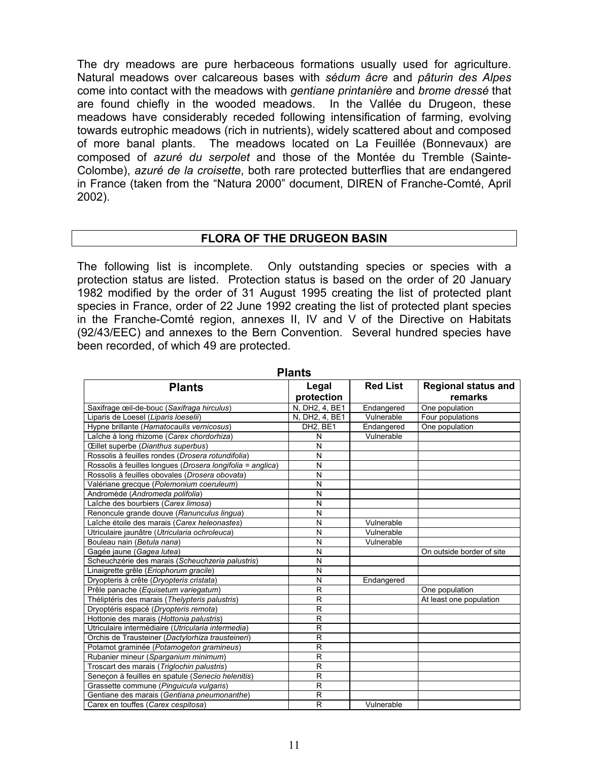The dry meadows are pure herbaceous formations usually used for agriculture. Natural meadows over calcareous bases with *sédum âcre* and *pâturin des Alpes* come into contact with the meadows with *gentiane printanière* and *brome dressé* that are found chiefly in the wooded meadows. In the Vallée du Drugeon, these meadows have considerably receded following intensification of farming, evolving towards eutrophic meadows (rich in nutrients), widely scattered about and composed of more banal plants. The meadows located on La Feuillée (Bonnevaux) are composed of *azuré du serpolet* and those of the Montée du Tremble (Sainte-Colombe), *azuré de la croisette*, both rare protected butterflies that are endangered in France (taken from the "Natura 2000" document, DIREN of Franche-Comté, April 2002).

#### **FLORA OF THE DRUGEON BASIN**

The following list is incomplete. Only outstanding species or species with a protection status are listed. Protection status is based on the order of 20 January 1982 modified by the order of 31 August 1995 creating the list of protected plant species in France, order of 22 June 1992 creating the list of protected plant species in the Franche-Comté region, annexes II, IV and V of the Directive on Habitats (92/43/EEC) and annexes to the Bern Convention. Several hundred species have been recorded, of which 49 are protected.

|                                                            | Γιαπιο                  |                 |                                       |
|------------------------------------------------------------|-------------------------|-----------------|---------------------------------------|
| <b>Plants</b>                                              | Legal<br>protection     | <b>Red List</b> | <b>Regional status and</b><br>remarks |
| Saxifrage œil-de-bouc (Saxifraga hirculus)                 | N, DH2, 4, BE1          | Endangered      | One population                        |
| Liparis de Loesel (Liparis loeselii)                       | N, DH2, 4, BE1          | Vulnerable      | Four populations                      |
| Hypne brillante (Hamatocaulis vernicosus)                  | DH <sub>2</sub> . BE1   | Endangered      | One population                        |
| Laîche à long rhizome (Carex chordorhiza)                  | N                       | Vulnerable      |                                       |
| CEillet superbe (Dianthus superbus)                        | N                       |                 |                                       |
| Rossolis à feuilles rondes (Drosera rotundifolia)          | N                       |                 |                                       |
| Rossolis à feuilles longues (Drosera longifolia = anglica) | $\overline{\mathsf{N}}$ |                 |                                       |
| Rossolis à feuilles obovales (Drosera obovata)             | N                       |                 |                                       |
| Valériane grecque (Polemonium coeruleum)                   | N                       |                 |                                       |
| Andromède (Andromeda polifolia)                            | N                       |                 |                                       |
| Laîche des bourbiers (Carex limosa)                        | N                       |                 |                                       |
| Renoncule grande douve (Ranunculus lingua)                 | N                       |                 |                                       |
| Laîche étoile des marais (Carex heleonastes)               | N                       | Vulnerable      |                                       |
| Utriculaire jaunâtre (Utricularia ochroleuca)              | N                       | Vulnerable      |                                       |
| Bouleau nain (Betula nana)                                 | N                       | Vulnerable      |                                       |
| Gagée jaune (Gagea lutea)                                  | N                       |                 | On outside border of site             |
| Scheuchzérie des marais (Scheuchzeria palustris)           | N                       |                 |                                       |
| Linaigrette grêle (Eriophorum gracile)                     | N                       |                 |                                       |
| Dryopteris à crête (Dryopteris cristata)                   | N                       | Endangered      |                                       |
| Prêle panache (Equisetum variegatum)                       | $\mathsf{R}$            |                 | One population                        |
| Théliptéris des marais (Thelypteris palustris)             | $\overline{\mathsf{R}}$ |                 | At least one population               |
| Dryoptéris espacé (Dryopteris remota)                      | R                       |                 |                                       |
| Hottonie des marais (Hottonia palustris)                   | R                       |                 |                                       |
| Utriculaire intermédiaire (Utricularia intermedia)         | R                       |                 |                                       |
| Orchis de Trausteiner (Dactylorhiza trausteineri)          | R                       |                 |                                       |
| Potamot graminée (Potamogeton gramineus)                   | R                       |                 |                                       |
| Rubanier mineur (Sparganium minimum)                       | $\mathsf{R}$            |                 |                                       |
| Troscart des marais (Triglochin palustris)                 | R                       |                 |                                       |
| Seneçon à feuilles en spatule (Senecio helenitis)          | R                       |                 |                                       |
| Grassette commune (Pinguicula vulgaris)                    | R                       |                 |                                       |
| Gentiane des marais (Gentiana pneumonanthe)                | R                       |                 |                                       |
| Carex en touffes (Carex cespitosa)                         | R                       | Vulnerable      |                                       |

**Plants**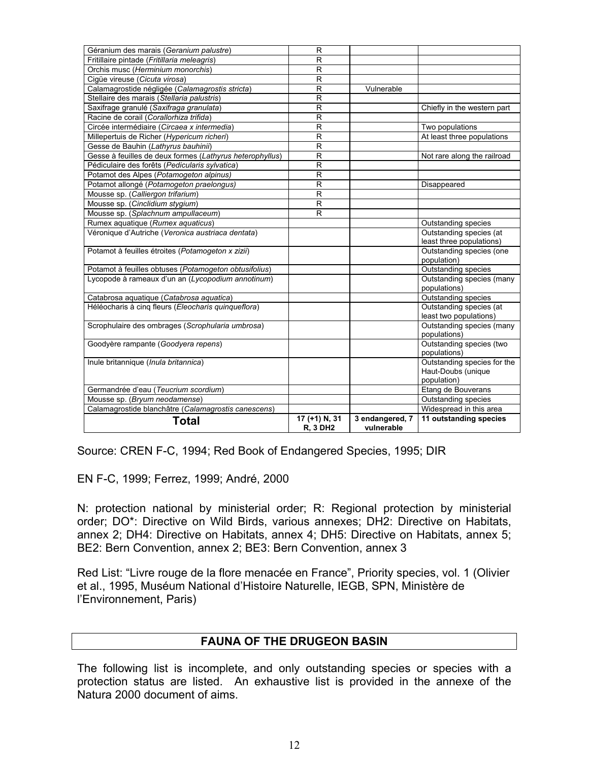| Géranium des marais (Geranium palustre)                  | R               |                 |                                          |
|----------------------------------------------------------|-----------------|-----------------|------------------------------------------|
| Fritillaire pintade (Fritillaria meleagris)              | R               |                 |                                          |
| Orchis musc (Herminium monorchis)                        | R               |                 |                                          |
| Ciqüe vireuse (Cicuta virosa)                            | $\mathsf{R}$    |                 |                                          |
| Calamagrostide négligée (Calamagrostis stricta)          | $\mathsf{R}$    | Vulnerable      |                                          |
| Stellaire des marais (Stellaria palustris)               | $\mathsf{R}$    |                 |                                          |
| Saxifrage granulé (Saxifraga granulata)                  | R               |                 | Chiefly in the western part              |
| Racine de corail (Corallorhiza trifida)                  | R               |                 |                                          |
| Circée intermédiaire (Circaea x intermedia)              | R               |                 | Two populations                          |
| Millepertuis de Richer (Hypericum richeri)               | R               |                 | At least three populations               |
| Gesse de Bauhin (Lathyrus bauhinii)                      | R               |                 |                                          |
| Gesse à feuilles de deux formes (Lathyrus heterophyllus) | $\mathsf{R}$    |                 | Not rare along the railroad              |
| Pédiculaire des forêts (Pedicularis sylvatica)           | R               |                 |                                          |
| Potamot des Alpes (Potamogeton alpinus)                  | R               |                 |                                          |
| Potamot allongé (Potamogeton praelongus)                 | $\mathsf{R}$    |                 | Disappeared                              |
| Mousse sp. (Calliergon trifarium)                        | R               |                 |                                          |
| Mousse sp. (Cinclidium stygium)                          | R               |                 |                                          |
| Mousse sp. (Splachnum ampullaceum)                       | R               |                 |                                          |
| Rumex aquatique (Rumex aquaticus)                        |                 |                 | Outstanding species                      |
| Véronique d'Autriche (Veronica austriaca dentata)        |                 |                 | Outstanding species (at                  |
|                                                          |                 |                 | least three populations)                 |
| Potamot à feuilles étroites (Potamogeton x zizii)        |                 |                 | Outstanding species (one                 |
|                                                          |                 |                 | population)                              |
| Potamot à feuilles obtuses (Potamogeton obtusifolius)    |                 |                 | Outstanding species                      |
| Lycopode à rameaux d'un an (Lycopodium annotinum)        |                 |                 | Outstanding species (many                |
|                                                          |                 |                 | populations)                             |
| Catabrosa aquatique (Catabrosa aquatica)                 |                 |                 | Outstanding species                      |
| Héléocharis à cinq fleurs (Eleocharis quinqueflora)      |                 |                 | Outstanding species (at                  |
|                                                          |                 |                 | least two populations)                   |
| Scrophulaire des ombrages (Scrophularia umbrosa)         |                 |                 | Outstanding species (many                |
|                                                          |                 |                 | populations)                             |
| Goodyère rampante (Goodyera repens)                      |                 |                 | Outstanding species (two<br>populations) |
| Inule britannique (Inula britannica)                     |                 |                 | Outstanding species for the              |
|                                                          |                 |                 | Haut-Doubs (unique                       |
|                                                          |                 |                 | population)                              |
| Germandrée d'eau (Teucrium scordium)                     |                 |                 | Etang de Bouverans                       |
| Mousse sp. (Bryum neodamense)                            |                 |                 | Outstanding species                      |
| Calamagrostide blanchâtre (Calamagrostis canescens)      |                 |                 | Widespread in this area                  |
| <b>Total</b>                                             | 17 (+1) N, 31   | 3 endangered, 7 | 11 outstanding species                   |
|                                                          | <b>R. 3 DH2</b> | vulnerable      |                                          |

Source: CREN F-C, 1994; Red Book of Endangered Species, 1995; DIR

EN F-C, 1999; Ferrez, 1999; André, 2000

N: protection national by ministerial order; R: Regional protection by ministerial order; DO\*: Directive on Wild Birds, various annexes; DH2: Directive on Habitats, annex 2; DH4: Directive on Habitats, annex 4; DH5: Directive on Habitats, annex 5; BE2: Bern Convention, annex 2; BE3: Bern Convention, annex 3

Red List: "Livre rouge de la flore menacée en France", Priority species, vol. 1 (Olivier et al., 1995, Muséum National d'Histoire Naturelle, IEGB, SPN, Ministère de l'Environnement, Paris)

#### **FAUNA OF THE DRUGEON BASIN**

The following list is incomplete, and only outstanding species or species with a protection status are listed. An exhaustive list is provided in the annexe of the Natura 2000 document of aims.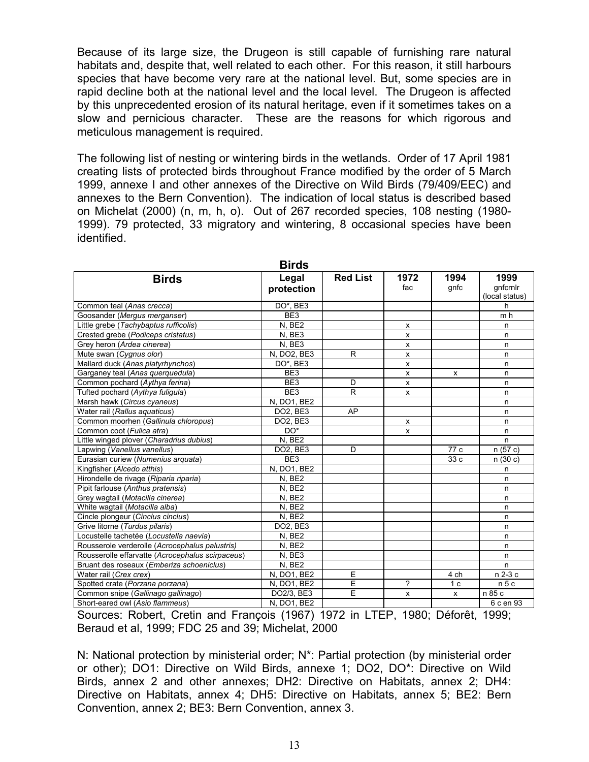Because of its large size, the Drugeon is still capable of furnishing rare natural habitats and, despite that, well related to each other. For this reason, it still harbours species that have become very rare at the national level. But, some species are in rapid decline both at the national level and the local level. The Drugeon is affected by this unprecedented erosion of its natural heritage, even if it sometimes takes on a slow and pernicious character. These are the reasons for which rigorous and meticulous management is required.

The following list of nesting or wintering birds in the wetlands. Order of 17 April 1981 creating lists of protected birds throughout France modified by the order of 5 March 1999, annexe I and other annexes of the Directive on Wild Birds (79/409/EEC) and annexes to the Bern Convention). The indication of local status is described based on Michelat (2000) (n, m, h, o). Out of 267 recorded species, 108 nesting (1980- 1999). 79 protected, 33 migratory and wintering, 8 occasional species have been identified.

|                                                  | pu və           |                 |              |                           |                 |
|--------------------------------------------------|-----------------|-----------------|--------------|---------------------------|-----------------|
| <b>Birds</b>                                     | Legal           | <b>Red List</b> | 1972         | 1994                      | 1999            |
|                                                  | protection      |                 | fac          | gnfc                      | qnfcrnlr        |
|                                                  |                 |                 |              |                           | (local status)  |
| Common teal (Anas crecca)                        | DO*, BE3        |                 |              |                           | h               |
| Goosander (Mergus merganser)                     | BE3             |                 |              |                           | m h             |
| Little grebe (Tachybaptus rufficolis)            | N, BE2          |                 | x            |                           | n               |
| Crested grebe (Podiceps cristatus)               | N, BE3          |                 | x            |                           | n               |
| Grey heron (Ardea cinerea)                       | N, BE3          |                 | X            |                           | n.              |
| Mute swan (Cygnus olor)                          | N, DO2, BE3     | R               | x            |                           | n               |
| Mallard duck (Anas platyrhynchos)                | DO*, BE3        |                 | x            |                           | n.              |
| Garganey teal (Anas querquedula)                 | BE <sub>3</sub> |                 | $\mathsf{x}$ | X                         | n.              |
| Common pochard (Aythya ferina)                   | BE3             | D               | $\mathsf{x}$ |                           | n               |
| Tufted pochard (Aythya fuligula)                 | BE <sub>3</sub> | R               | $\mathsf{x}$ |                           | n               |
| Marsh hawk (Circus cyaneus)                      | N, DO1, BE2     |                 |              |                           | n               |
| Water rail (Rallus aquaticus)                    | DO2, BE3        | AP              |              |                           | n               |
| Common moorhen (Gallinula chloropus)             | DO2, BE3        |                 | X            |                           | n               |
| Common coot (Fulica atra)                        | DO*             |                 | $\mathsf{x}$ |                           | n               |
| Little winged plover (Charadrius dubius)         | N. BE2          |                 |              |                           | n               |
| Lapwing (Vanellus vanellus)                      | DO2, BE3        | D               |              | 77 c                      | n (57 c)        |
| Eurasian curiew (Numenius arquata)               | BE <sub>3</sub> |                 |              | 33 c                      | n(30c)          |
| Kingfisher (Alcedo atthis)                       | N, DO1, BE2     |                 |              |                           | n.              |
| Hirondelle de rivage (Riparia riparia)           | N. BE2          |                 |              |                           | n               |
| Pipit farlouse (Anthus pratensis)                | N, BE2          |                 |              |                           | n.              |
| Grey waqtail (Motacilla cinerea)                 | N, BE2          |                 |              |                           | n.              |
| White wagtail (Motacilla alba)                   | N, BE2          |                 |              |                           | n               |
| Cincle plongeur (Cinclus cinclus)                | N, BE2          |                 |              |                           | n.              |
| Grive litorne (Turdus pilaris)                   | DO2, BE3        |                 |              |                           | n               |
| Locustelle tachetée (Locustella naevia)          | N, BE2          |                 |              |                           | n               |
| Rousserole verderolle (Acrocephalus palustris)   | N. BE2          |                 |              |                           | n.              |
| Rousserolle effarvatte (Acrocephalus scirpaceus) | N, BE3          |                 |              |                           | n.              |
| Bruant des roseaux (Emberiza schoeniclus)        | N, BE2          |                 |              |                           | n.              |
| Water rail (Crex crex)                           | N, DO1, BE2     | E               |              | 4 ch                      | n 2-3 c         |
| Spotted crate (Porzana porzana)                  | N, DO1, BE2     | Ε               | ?            | 1 <sub>c</sub>            | n <sub>5c</sub> |
| Common snipe (Gallinago gallinago)               | DO2/3, BE3      | E               | x            | $\boldsymbol{\mathsf{x}}$ | n 85 c          |
| Short-eared owl (Asio flammeus)                  | N, DO1, BE2     |                 |              |                           | 6 c en 93       |

**Birds**

Sources: Robert, Cretin and François (1967) 1972 in LTEP, 1980; Déforêt, 1999; Beraud et al, 1999; FDC 25 and 39; Michelat, 2000

N: National protection by ministerial order; N\*: Partial protection (by ministerial order or other); DO1: Directive on Wild Birds, annexe 1; DO2, DO\*: Directive on Wild Birds, annex 2 and other annexes; DH2: Directive on Habitats, annex 2; DH4: Directive on Habitats, annex 4; DH5: Directive on Habitats, annex 5; BE2: Bern Convention, annex 2; BE3: Bern Convention, annex 3.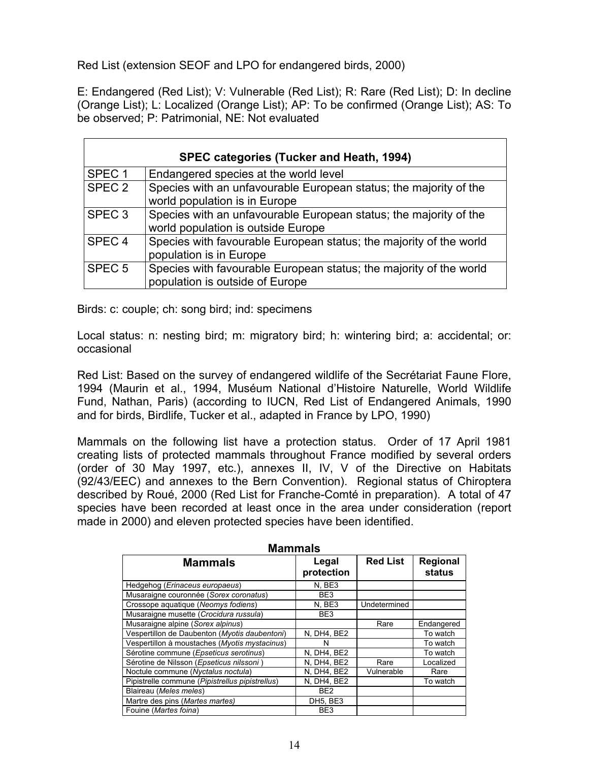Red List (extension SEOF and LPO for endangered birds, 2000)

E: Endangered (Red List); V: Vulnerable (Red List); R: Rare (Red List); D: In decline (Orange List); L: Localized (Orange List); AP: To be confirmed (Orange List); AS: To be observed; P: Patrimonial, NE: Not evaluated

|                   | <b>SPEC categories (Tucker and Heath, 1994)</b>                                                         |  |  |  |  |
|-------------------|---------------------------------------------------------------------------------------------------------|--|--|--|--|
| SPEC <sub>1</sub> | Endangered species at the world level                                                                   |  |  |  |  |
| SPEC <sub>2</sub> | Species with an unfavourable European status; the majority of the<br>world population is in Europe      |  |  |  |  |
| SPEC <sub>3</sub> | Species with an unfavourable European status; the majority of the<br>world population is outside Europe |  |  |  |  |
| SPEC <sub>4</sub> | Species with favourable European status; the majority of the world<br>population is in Europe           |  |  |  |  |
| SPEC <sub>5</sub> | Species with favourable European status; the majority of the world<br>population is outside of Europe   |  |  |  |  |

Birds: c: couple; ch: song bird; ind: specimens

Local status: n: nesting bird; m: migratory bird; h: wintering bird; a: accidental; or: occasional

Red List: Based on the survey of endangered wildlife of the Secrétariat Faune Flore, 1994 (Maurin et al., 1994, Muséum National d'Histoire Naturelle, World Wildlife Fund, Nathan, Paris) (according to IUCN, Red List of Endangered Animals, 1990 and for birds, Birdlife, Tucker et al., adapted in France by LPO, 1990)

Mammals on the following list have a protection status. Order of 17 April 1981 creating lists of protected mammals throughout France modified by several orders (order of 30 May 1997, etc.), annexes II, IV, V of the Directive on Habitats (92/43/EEC) and annexes to the Bern Convention). Regional status of Chiroptera described by Roué, 2000 (Red List for Franche-Comté in preparation). A total of 47 species have been recorded at least once in the area under consideration (report made in 2000) and eleven protected species have been identified.

| <b>Mammals</b>                                  |                     |                 |                    |  |  |
|-------------------------------------------------|---------------------|-----------------|--------------------|--|--|
| <b>Mammals</b>                                  | Legal<br>protection | <b>Red List</b> | Regional<br>status |  |  |
| Hedgehog (Erinaceus europaeus)                  | N, BE3              |                 |                    |  |  |
| Musaraigne couronnée (Sorex coronatus)          | BE <sub>3</sub>     |                 |                    |  |  |
| Crossope aquatique (Neomys fodiens)             | N, BE3              | Undetermined    |                    |  |  |
| Musaraigne musette (Crocidura russula)          | BE <sub>3</sub>     |                 |                    |  |  |
| Musaraigne alpine (Sorex alpinus)               |                     | Rare            | Endangered         |  |  |
| Vespertillon de Daubenton (Myotis daubentoni)   | N, DH4, BE2         |                 | To watch           |  |  |
| Vespertillon à moustaches (Myotis mystacinus)   | N                   |                 | To watch           |  |  |
| Sérotine commune (Epseticus serotinus)          | N, DH4, BE2         |                 | To watch           |  |  |
| Sérotine de Nilsson (Epseticus nilssoni)        | N, DH4, BE2         | Rare            | Localized          |  |  |
| Noctule commune (Nyctalus noctula)              | N, DH4, BE2         | Vulnerable      | Rare               |  |  |
| Pipistrelle commune (Pipistrellus pipistrellus) | N, DH4, BE2         |                 | To watch           |  |  |
| Blaireau (Meles meles)                          | BE <sub>2</sub>     |                 |                    |  |  |
| Martre des pins (Martes martes)                 | DH5, BE3            |                 |                    |  |  |
| Fouine (Martes foina)                           | BE <sub>3</sub>     |                 |                    |  |  |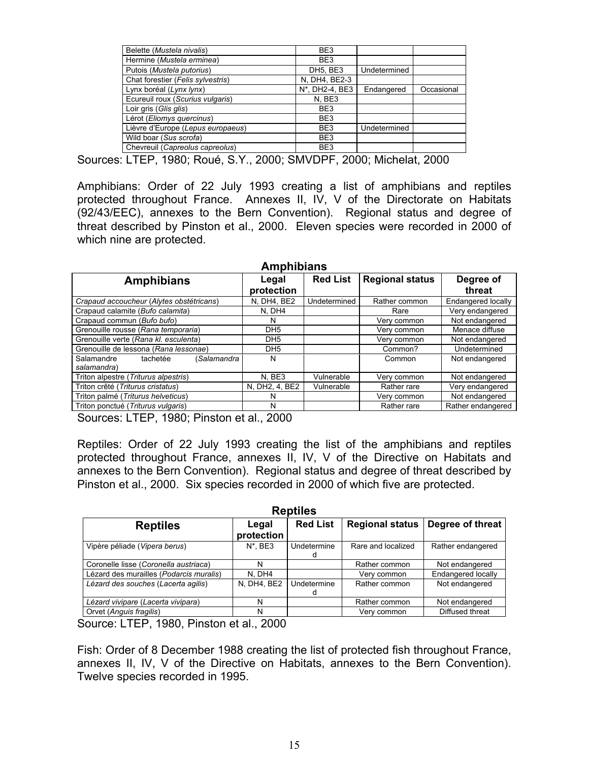| Belette (Mustela nivalis)         | BE <sub>3</sub> |              |            |
|-----------------------------------|-----------------|--------------|------------|
| Hermine (Mustela erminea)         | BE <sub>3</sub> |              |            |
| Putois (Mustela putorius)         | DH5, BE3        | Undetermined |            |
| Chat forestier (Felis sylvestris) | N. DH4. BE2-3   |              |            |
| Lynx boréal (Lynx lynx)           | N*, DH2-4, BE3  | Endangered   | Occasional |
| Ecureuil roux (Scurius vulgaris)  | N, BE3          |              |            |
| Loir gris (Glis glis)             | BE <sub>3</sub> |              |            |
| Lérot (Eliomys quercinus)         | BE <sub>3</sub> |              |            |
| Lièvre d'Europe (Lepus europaeus) | BE <sub>3</sub> | Undetermined |            |
| Wild boar (Sus scrofa)            | BE3             |              |            |
| Chevreuil (Capreolus capreolus)   | BE <sub>3</sub> |              |            |
|                                   |                 |              |            |

Sources: LTEP, 1980; Roué, S.Y., 2000; SMVDPF, 2000; Michelat, 2000

Amphibians: Order of 22 July 1993 creating a list of amphibians and reptiles protected throughout France. Annexes II, IV, V of the Directorate on Habitats (92/43/EEC), annexes to the Bern Convention). Regional status and degree of threat described by Pinston et al., 2000. Eleven species were recorded in 2000 of which nine are protected.

| <b>Amphibians</b>                        |                 |                 |                        |                    |  |  |  |
|------------------------------------------|-----------------|-----------------|------------------------|--------------------|--|--|--|
| <b>Amphibians</b>                        | Legal           | <b>Red List</b> | <b>Regional status</b> | Degree of          |  |  |  |
|                                          | protection      |                 |                        | threat             |  |  |  |
| Crapaud accoucheur (Alytes obstétricans) | N, DH4, BE2     | Undetermined    | Rather common          | Endangered locally |  |  |  |
| Crapaud calamite (Bufo calamita)         | N. DH4          |                 | Rare                   | Very endangered    |  |  |  |
| Crapaud commun (Bufo bufo)               | N               |                 | Very common            | Not endangered     |  |  |  |
| Grenouille rousse (Rana temporaria)      | DH <sub>5</sub> |                 | Very common            | Menace diffuse     |  |  |  |
| Grenouille verte (Rana kl. esculenta)    | DH <sub>5</sub> |                 | Very common            | Not endangered     |  |  |  |
| Grenouille de lessona (Rana lessonae)    | DH <sub>5</sub> |                 | Common?                | Undetermined       |  |  |  |
| Salamandre<br>tachetée<br>(Salamandra    | N               |                 | Common                 | Not endangered     |  |  |  |
| salamandra)                              |                 |                 |                        |                    |  |  |  |
| Triton alpestre (Triturus alpestris)     | N, BE3          | Vulnerable      | Very common            | Not endangered     |  |  |  |
| Triton crêté (Triturus cristatus)        | N, DH2, 4, BE2  | Vulnerable      | Rather rare            | Very endangered    |  |  |  |
| Triton palmé (Triturus helveticus)       | N               |                 | Very common            | Not endangered     |  |  |  |
| Triton ponctué (Triturus vulgaris)       | N               |                 | Rather rare            | Rather endangered  |  |  |  |

Sources: LTEP, 1980; Pinston et al., 2000

Reptiles: Order of 22 July 1993 creating the list of the amphibians and reptiles protected throughout France, annexes II, IV, V of the Directive on Habitats and annexes to the Bern Convention). Regional status and degree of threat described by Pinston et al., 2000. Six species recorded in 2000 of which five are protected.

| <b>Reptiles</b>                         |                     |                  |                        |                    |  |  |
|-----------------------------------------|---------------------|------------------|------------------------|--------------------|--|--|
| <b>Reptiles</b>                         | Legal<br>protection | <b>Red List</b>  | <b>Regional status</b> | Degree of threat   |  |  |
| Vipère péliade (Vipera berus)           | $N^*$ . BE3         | Undetermine<br>d | Rare and localized     | Rather endangered  |  |  |
| Coronelle lisse (Coronella austriaca)   | N                   |                  | Rather common          | Not endangered     |  |  |
| Lézard des murailles (Podarcis muralis) | N. DH4              |                  | Very common            | Endangered locally |  |  |
| Lézard des souches (Lacerta agilis)     | N, DH4, BE2         | Undetermine<br>d | Rather common          | Not endangered     |  |  |
| Lézard vivipare (Lacerta vivipara)      | N                   |                  | Rather common          | Not endangered     |  |  |
| Orvet (Anguis fragilis)                 | N                   |                  | Verv common            | Diffused threat    |  |  |

Source: LTEP, 1980, Pinston et al., 2000

Fish: Order of 8 December 1988 creating the list of protected fish throughout France, annexes II, IV, V of the Directive on Habitats, annexes to the Bern Convention). Twelve species recorded in 1995.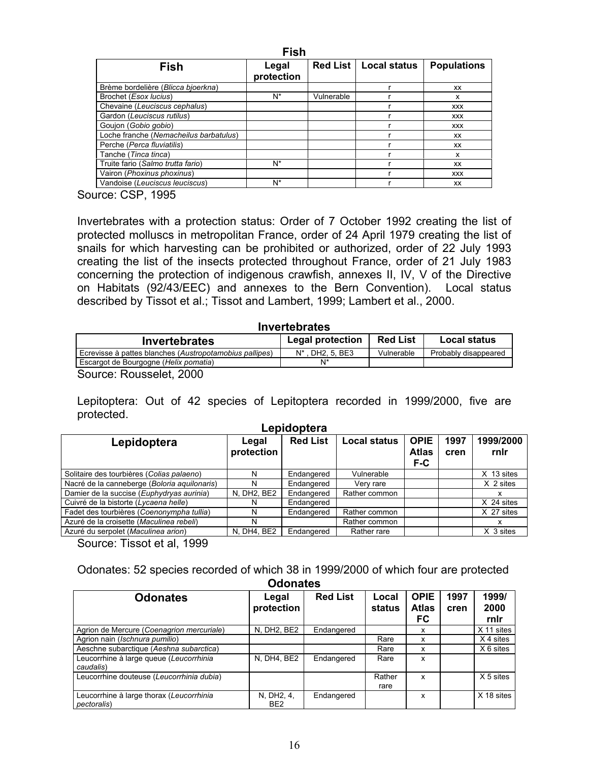| <b>Fish</b>                            |                     |                 |              |                    |  |  |  |  |
|----------------------------------------|---------------------|-----------------|--------------|--------------------|--|--|--|--|
| <b>Fish</b>                            | Legal<br>protection | <b>Red List</b> | Local status | <b>Populations</b> |  |  |  |  |
| Brème bordelière (Blicca bioerkna)     |                     |                 |              | XX                 |  |  |  |  |
| Brochet (Esox lucius)                  | N*                  | Vulnerable      |              | x                  |  |  |  |  |
| Chevaine (Leuciscus cephalus)          |                     |                 |              | <b>XXX</b>         |  |  |  |  |
| Gardon (Leuciscus rutilus)             |                     |                 |              | <b>XXX</b>         |  |  |  |  |
| Goujon (Gobio gobio)                   |                     |                 |              | <b>XXX</b>         |  |  |  |  |
| Loche franche (Nemacheilus barbatulus) |                     |                 |              | XX                 |  |  |  |  |
| Perche (Perca fluviatilis)             |                     |                 |              | XX                 |  |  |  |  |
| Tanche (Tinca tinca)                   |                     |                 |              | x                  |  |  |  |  |
| Truite fario (Salmo trutta fario)      | N*                  |                 |              | XX                 |  |  |  |  |
| Vairon (Phoxinus phoxinus)             |                     |                 |              | <b>XXX</b>         |  |  |  |  |
| Vandoise (Leuciscus leuciscus)         | N*                  |                 |              | XX                 |  |  |  |  |

Source: CSP, 1995

Invertebrates with a protection status: Order of 7 October 1992 creating the list of protected molluscs in metropolitan France, order of 24 April 1979 creating the list of snails for which harvesting can be prohibited or authorized, order of 22 July 1993 creating the list of the insects protected throughout France, order of 21 July 1983 concerning the protection of indigenous crawfish, annexes II, IV, V of the Directive on Habitats (92/43/EEC) and annexes to the Bern Convention). Local status described by Tissot et al.; Tissot and Lambert, 1999; Lambert et al., 2000.

| <b>Invertebrates</b>                                    |                         |                 |                      |  |  |  |  |  |
|---------------------------------------------------------|-------------------------|-----------------|----------------------|--|--|--|--|--|
| <b>Invertebrates</b>                                    | <b>Legal protection</b> | <b>Red List</b> | <b>Local status</b>  |  |  |  |  |  |
| Ecrevisse à pattes blanches (Austropotamobius pallipes) | . DH2. 5. BE3<br>N*     | Vulnerable      | Probably disappeared |  |  |  |  |  |
| Escargot de Bourgogne (Helix pomatia)                   | N*                      |                 |                      |  |  |  |  |  |
| Course: Dougoolat 2000                                  |                         |                 |                      |  |  |  |  |  |

Source: Rousselet, 2000

Lepitoptera: Out of 42 species of Lepitoptera recorded in 1999/2000, five are protected.

| Legal<br>protection | <b>Red List</b> | <b>Local status</b> | <b>OPIE</b><br><b>Atlas</b><br>F-C | 1997<br>cren | 1999/2000<br>rnir |  |  |  |  |  |
|---------------------|-----------------|---------------------|------------------------------------|--------------|-------------------|--|--|--|--|--|
| N                   | Endangered      | Vulnerable          |                                    |              | X 13 sites        |  |  |  |  |  |
|                     | Endangered      | Very rare           |                                    |              | X 2 sites         |  |  |  |  |  |
| N, DH2, BE2         | Endangered      | Rather common       |                                    |              | x                 |  |  |  |  |  |
| N                   | Endangered      |                     |                                    |              | X 24 sites        |  |  |  |  |  |
| N                   | Endangered      | Rather common       |                                    |              | X 27 sites        |  |  |  |  |  |
|                     |                 | Rather common       |                                    |              | x                 |  |  |  |  |  |
| N, DH4, BE2         | Endangered      | Rather rare         |                                    |              | X 3 sites         |  |  |  |  |  |
|                     |                 | LUNIUUNIUIU         |                                    |              |                   |  |  |  |  |  |

**Lepidoptera**

Source: Tissot et al, 1999

Odonates: 52 species recorded of which 38 in 1999/2000 of which four are protected

| <b>Odonates</b>                                                 |                               |                 |                 |                                   |              |                       |  |  |
|-----------------------------------------------------------------|-------------------------------|-----------------|-----------------|-----------------------------------|--------------|-----------------------|--|--|
| <b>Odonates</b>                                                 | Legal<br>protection           | <b>Red List</b> | Local<br>status | <b>OPIE</b><br><b>Atlas</b><br>FC | 1997<br>cren | 1999/<br>2000<br>rnir |  |  |
| Agrion de Mercure (Coenagrion mercuriale)                       | N. DH2, BE2                   | Endangered      |                 | x                                 |              | X 11 sites            |  |  |
| Agrion nain (Ischnura pumilio)                                  |                               |                 | Rare            | x                                 |              | X 4 sites             |  |  |
| Aeschne subarctique (Aeshna subarctica)                         |                               |                 | Rare            | x                                 |              | X 6 sites             |  |  |
| Leucorrhine à large queue (Leucorrhinia<br>caudalis)            | N. DH4. BE2                   | Endangered      | Rare            | x                                 |              |                       |  |  |
| Leucorrhine douteuse (Leucorrhinia dubia)                       |                               |                 | Rather<br>rare  | x                                 |              | X 5 sites             |  |  |
| Leucorrhine à large thorax (Leucorrhinia<br><i>pectoralis</i> ) | N, DH2, 4,<br>BE <sub>2</sub> | Endangered      |                 | x                                 |              | X 18 sites            |  |  |